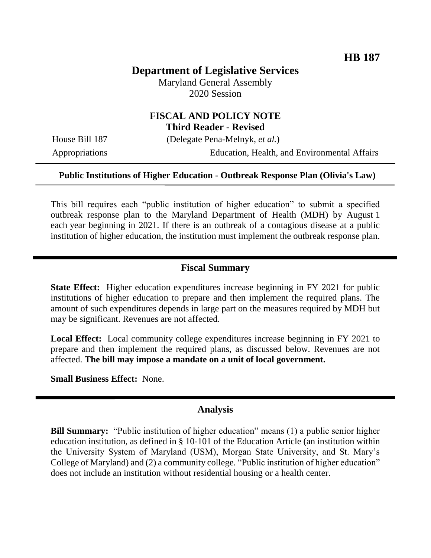# **Department of Legislative Services**

Maryland General Assembly 2020 Session

### **FISCAL AND POLICY NOTE Third Reader - Revised**

House Bill 187 (Delegate Pena-Melnyk, *et al.*)

Appropriations Education, Health, and Environmental Affairs

#### **Public Institutions of Higher Education - Outbreak Response Plan (Olivia's Law)**

This bill requires each "public institution of higher education" to submit a specified outbreak response plan to the Maryland Department of Health (MDH) by August 1 each year beginning in 2021. If there is an outbreak of a contagious disease at a public institution of higher education, the institution must implement the outbreak response plan.

#### **Fiscal Summary**

**State Effect:** Higher education expenditures increase beginning in FY 2021 for public institutions of higher education to prepare and then implement the required plans. The amount of such expenditures depends in large part on the measures required by MDH but may be significant. Revenues are not affected.

**Local Effect:** Local community college expenditures increase beginning in FY 2021 to prepare and then implement the required plans, as discussed below. Revenues are not affected. **The bill may impose a mandate on a unit of local government.**

**Small Business Effect:** None.

#### **Analysis**

**Bill Summary:** "Public institution of higher education" means (1) a public senior higher education institution, as defined in § 10-101 of the Education Article (an institution within the University System of Maryland (USM), Morgan State University, and St. Mary's College of Maryland) and (2) a community college. "Public institution of higher education" does not include an institution without residential housing or a health center.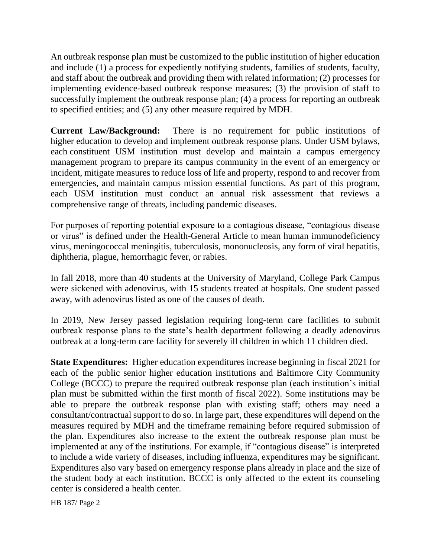An outbreak response plan must be customized to the public institution of higher education and include (1) a process for expediently notifying students, families of students, faculty, and staff about the outbreak and providing them with related information; (2) processes for implementing evidence-based outbreak response measures; (3) the provision of staff to successfully implement the outbreak response plan; (4) a process for reporting an outbreak to specified entities; and (5) any other measure required by MDH.

**Current Law/Background:** There is no requirement for public institutions of higher education to develop and implement outbreak response plans. Under USM bylaws, each constituent USM institution must develop and maintain a campus emergency management program to prepare its campus community in the event of an emergency or incident, mitigate measures to reduce loss of life and property, respond to and recover from emergencies, and maintain campus mission essential functions. As part of this program, each USM institution must conduct an annual risk assessment that reviews a comprehensive range of threats, including pandemic diseases.

For purposes of reporting potential exposure to a contagious disease, "contagious disease or virus" is defined under the Health-General Article to mean human immunodeficiency virus, meningococcal meningitis, tuberculosis, mononucleosis, any form of viral hepatitis, diphtheria, plague, hemorrhagic fever, or rabies.

In fall 2018, more than 40 students at the University of Maryland, College Park Campus were sickened with adenovirus, with 15 students treated at hospitals. One student passed away, with adenovirus listed as one of the causes of death.

In 2019, New Jersey passed legislation requiring long-term care facilities to submit outbreak response plans to the state's health department following a deadly adenovirus outbreak at a long-term care facility for severely ill children in which 11 children died.

**State Expenditures:** Higher education expenditures increase beginning in fiscal 2021 for each of the public senior higher education institutions and Baltimore City Community College (BCCC) to prepare the required outbreak response plan (each institution's initial plan must be submitted within the first month of fiscal 2022). Some institutions may be able to prepare the outbreak response plan with existing staff; others may need a consultant/contractual support to do so. In large part, these expenditures will depend on the measures required by MDH and the timeframe remaining before required submission of the plan. Expenditures also increase to the extent the outbreak response plan must be implemented at any of the institutions. For example, if "contagious disease" is interpreted to include a wide variety of diseases, including influenza, expenditures may be significant. Expenditures also vary based on emergency response plans already in place and the size of the student body at each institution. BCCC is only affected to the extent its counseling center is considered a health center.

HB 187/ Page 2